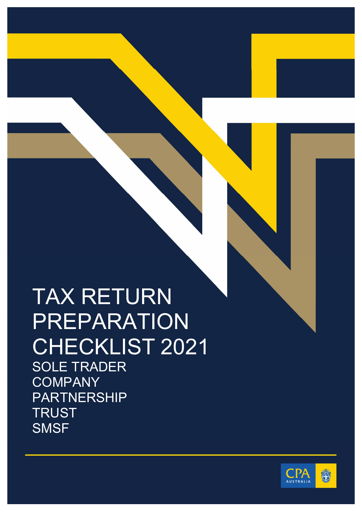## TAX RETURN PREPARATION CHECKLIST 2021 SOLE TRADER COMPANY PARTNERSHIP **TRUST**

**SMSF** 

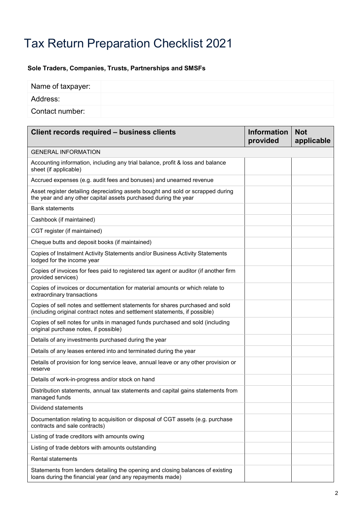## Tax Return Preparation Checklist 2021

## **Sole Traders, Companies, Trusts, Partnerships and SMSFs**

| Name of taxpayer: |  |
|-------------------|--|
| Address:          |  |
| Contact number:   |  |

| Client records required - business clients                                                                                                                 | <b>Information</b><br>provided | <b>Not</b><br>applicable |
|------------------------------------------------------------------------------------------------------------------------------------------------------------|--------------------------------|--------------------------|
| <b>GENERAL INFORMATION</b>                                                                                                                                 |                                |                          |
| Accounting information, including any trial balance, profit & loss and balance<br>sheet (if applicable)                                                    |                                |                          |
| Accrued expenses (e.g. audit fees and bonuses) and unearned revenue                                                                                        |                                |                          |
| Asset register detailing depreciating assets bought and sold or scrapped during<br>the year and any other capital assets purchased during the year         |                                |                          |
| <b>Bank statements</b>                                                                                                                                     |                                |                          |
| Cashbook (if maintained)                                                                                                                                   |                                |                          |
| CGT register (if maintained)                                                                                                                               |                                |                          |
| Cheque butts and deposit books (if maintained)                                                                                                             |                                |                          |
| Copies of Instalment Activity Statements and/or Business Activity Statements<br>lodged for the income year                                                 |                                |                          |
| Copies of invoices for fees paid to registered tax agent or auditor (if another firm<br>provided services)                                                 |                                |                          |
| Copies of invoices or documentation for material amounts or which relate to<br>extraordinary transactions                                                  |                                |                          |
| Copies of sell notes and settlement statements for shares purchased and sold<br>(including original contract notes and settlement statements, if possible) |                                |                          |
| Copies of sell notes for units in managed funds purchased and sold (including<br>original purchase notes, if possible)                                     |                                |                          |
| Details of any investments purchased during the year                                                                                                       |                                |                          |
| Details of any leases entered into and terminated during the year                                                                                          |                                |                          |
| Details of provision for long service leave, annual leave or any other provision or<br>reserve                                                             |                                |                          |
| Details of work-in-progress and/or stock on hand                                                                                                           |                                |                          |
| Distribution statements, annual tax statements and capital gains statements from<br>managed funds                                                          |                                |                          |
| Dividend statements                                                                                                                                        |                                |                          |
| Documentation relating to acquisition or disposal of CGT assets (e.g. purchase<br>contracts and sale contracts)                                            |                                |                          |
| Listing of trade creditors with amounts owing                                                                                                              |                                |                          |
| Listing of trade debtors with amounts outstanding                                                                                                          |                                |                          |
| Rental statements                                                                                                                                          |                                |                          |
| Statements from lenders detailing the opening and closing balances of existing<br>loans during the financial year (and any repayments made)                |                                |                          |